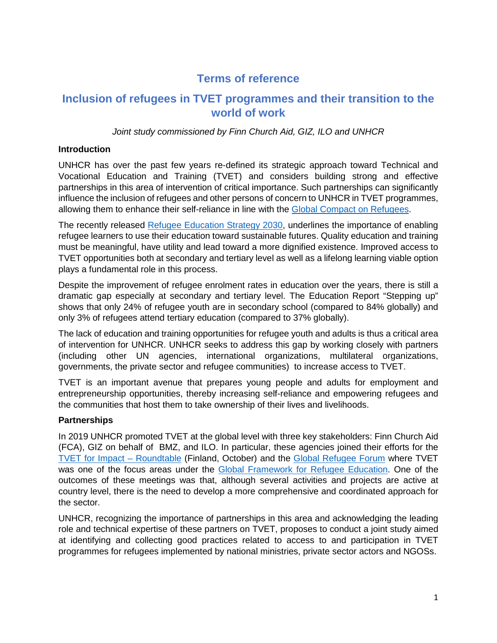# **Terms of reference**

# **Inclusion of refugees in TVET programmes and their transition to the world of work**

Joint study commissioned by Finn Church Aid, GIZ, ILO and UNHCR

## **Introduction**

UNHCR has over the past few years re-defined its strategic approach toward Technical and Vocational Education and Training (TVET) and considers building strong and effective partnerships in this area of intervention of critical importance. Such partnerships can significantly influence the inclusion of refugees and other persons of concern to UNHCR in TVET programmes, allowing them to enhance their self-reliance in line with the Global Compact on Refugees.

The recently released Refugee Education Strategy 2030, underlines the importance of enabling refugee learners to use their education toward sustainable futures. Quality education and training must be meaningful, have utility and lead toward a more dignified existence. Improved access to TVET opportunities both at secondary and tertiary level as well as a lifelong learning viable option plays a fundamental role in this process.

Despite the improvement of refugee enrolment rates in education over the years, there is still a dramatic gap especially at secondary and tertiary level. The Education Report "Stepping up" shows that only 24% of refugee youth are in secondary school (compared to 84% globally) and only 3% of refugees attend tertiary education (compared to 37% globally).

The lack of education and training opportunities for refugee youth and adults is thus a critical area of intervention for UNHCR. UNHCR seeks to address this gap by working closely with partners (including other UN agencies, international organizations, multilateral organizations, governments, the private sector and refugee communities) to increase access to TVET.

TVET is an important avenue that prepares young people and adults for employment and entrepreneurship opportunities, thereby increasing self-reliance and empowering refugees and the communities that host them to take ownership of their lives and livelihoods.

## **Partnerships**

In 2019 UNHCR promoted TVET at the global level with three key stakeholders: Finn Church Aid (FCA), GIZ on behalf of BMZ, and ILO. In particular, these agencies joined their efforts for the TVET for Impact – Roundtable (Finland, October) and the Global Refugee Forum where TVET was one of the focus areas under the Global Framework for Refugee Education. One of the outcomes of these meetings was that, although several activities and projects are active at country level, there is the need to develop a more comprehensive and coordinated approach for the sector.

UNHCR, recognizing the importance of partnerships in this area and acknowledging the leading role and technical expertise of these partners on TVET, proposes to conduct a joint study aimed at identifying and collecting good practices related to access to and participation in TVET programmes for refugees implemented by national ministries, private sector actors and NGOSs.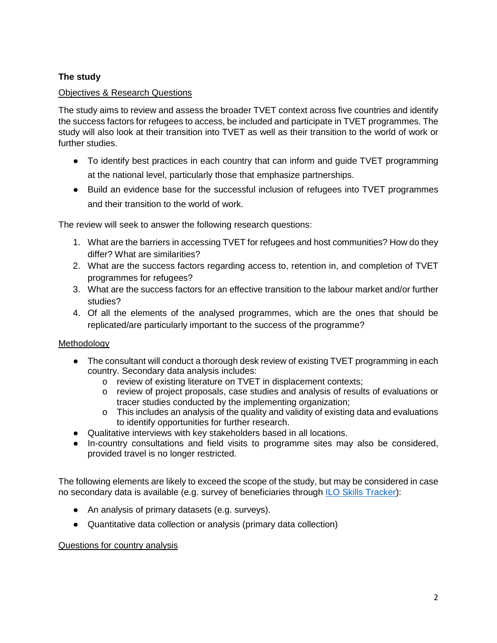# **The study**

## Objectives & Research Questions

The study aims to review and assess the broader TVET context across five countries and identify the success factors for refugees to access, be included and participate in TVET programmes. The study will also look at their transition into TVET as well as their transition to the world of work or further studies.

- To identify best practices in each country that can inform and guide TVET programming at the national level, particularly those that emphasize partnerships.
- Build an evidence base for the successful inclusion of refugees into TVET programmes and their transition to the world of work.

The review will seek to answer the following research questions:

- 1. What are the barriers in accessing TVET for refugees and host communities? How do they differ? What are similarities?
- 2. What are the success factors regarding access to, retention in, and completion of TVET programmes for refugees?
- 3. What are the success factors for an effective transition to the labour market and/or further studies?
- 4. Of all the elements of the analysed programmes, which are the ones that should be replicated/are particularly important to the success of the programme?

## **Methodology**

- The consultant will conduct a thorough desk review of existing TVET programming in each country. Secondary data analysis includes:
	- o review of existing literature on TVET in displacement contexts;
	- o review of project proposals, case studies and analysis of results of evaluations or tracer studies conducted by the implementing organization;
	- $\circ$  This includes an analysis of the quality and validity of existing data and evaluations to identify opportunities for further research.
- Qualitative interviews with key stakeholders based in all locations.
- In-country consultations and field visits to programme sites may also be considered, provided travel is no longer restricted.

The following elements are likely to exceed the scope of the study, but may be considered in case no secondary data is available (e.g. survey of beneficiaries through ILO Skills Tracker):

- An analysis of primary datasets (e.g. surveys).
- Quantitative data collection or analysis (primary data collection)

#### Questions for country analysis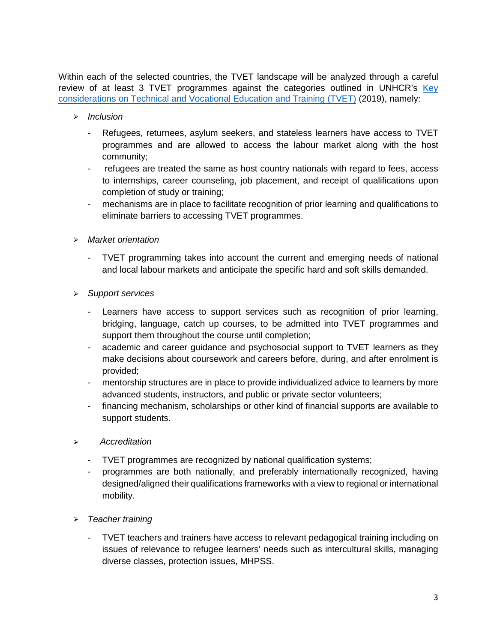Within each of the selected countries, the TVET landscape will be analyzed through a careful review of at least 3 TVET programmes against the categories outlined in UNHCR's Key considerations on Technical and Vocational Education and Training (TVET) (2019), namely:

- $\triangleright$  Inclusion
	- Refugees, returnees, asylum seekers, and stateless learners have access to TVET programmes and are allowed to access the labour market along with the host community;
	- refugees are treated the same as host country nationals with regard to fees, access to internships, career counseling, job placement, and receipt of qualifications upon completion of study or training;
	- mechanisms are in place to facilitate recognition of prior learning and qualifications to eliminate barriers to accessing TVET programmes.
- ⮚ Market orientation
	- TVET programming takes into account the current and emerging needs of national and local labour markets and anticipate the specific hard and soft skills demanded.
- ⮚ Support services
	- Learners have access to support services such as recognition of prior learning, bridging, language, catch up courses, to be admitted into TVET programmes and support them throughout the course until completion;
	- academic and career guidance and psychosocial support to TVET learners as they make decisions about coursework and careers before, during, and after enrolment is provided;
	- mentorship structures are in place to provide individualized advice to learners by more advanced students, instructors, and public or private sector volunteers;
	- financing mechanism, scholarships or other kind of financial supports are available to support students.
- ⮚ Accreditation
	- TVET programmes are recognized by national qualification systems;
	- programmes are both nationally, and preferably internationally recognized, having designed/aligned their qualifications frameworks with a view to regional or international mobility.
- $\triangleright$  Teacher training
	- TVET teachers and trainers have access to relevant pedagogical training including on issues of relevance to refugee learners' needs such as intercultural skills, managing diverse classes, protection issues, MHPSS.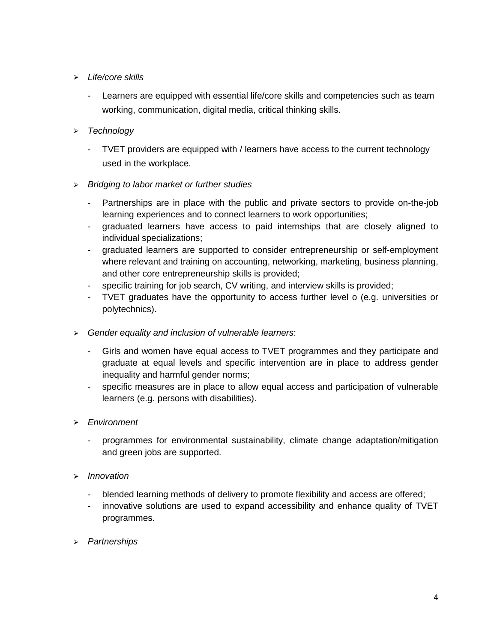- $\triangleright$  Life/core skills
	- Learners are equipped with essential life/core skills and competencies such as team working, communication, digital media, critical thinking skills.
- > Technology
	- TVET providers are equipped with / learners have access to the current technology used in the workplace.
- $\triangleright$  Bridging to labor market or further studies
	- Partnerships are in place with the public and private sectors to provide on-the-job learning experiences and to connect learners to work opportunities;
	- graduated learners have access to paid internships that are closely aligned to individual specializations;
	- graduated learners are supported to consider entrepreneurship or self-employment where relevant and training on accounting, networking, marketing, business planning, and other core entrepreneurship skills is provided;
	- specific training for job search, CV writing, and interview skills is provided;
	- TVET graduates have the opportunity to access further level o (e.g. universities or polytechnics).
- ⮚ Gender equality and inclusion of vulnerable learners:
	- Girls and women have equal access to TVET programmes and they participate and graduate at equal levels and specific intervention are in place to address gender inequality and harmful gender norms;
	- specific measures are in place to allow equal access and participation of vulnerable learners (e.g. persons with disabilities).
- ⮚ Environment
	- programmes for environmental sustainability, climate change adaptation/mitigation and green jobs are supported.
- ⮚ Innovation
	- blended learning methods of delivery to promote flexibility and access are offered;
	- innovative solutions are used to expand accessibility and enhance quality of TVET programmes.
- ⮚ Partnerships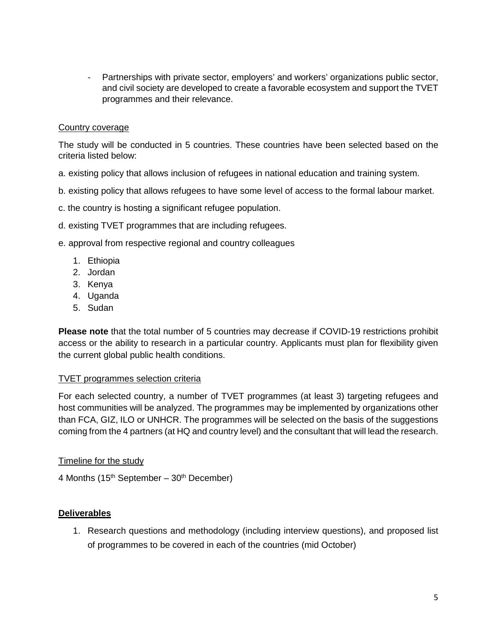- Partnerships with private sector, employers' and workers' organizations public sector, and civil society are developed to create a favorable ecosystem and support the TVET programmes and their relevance.

#### Country coverage

The study will be conducted in 5 countries. These countries have been selected based on the criteria listed below:

- a. existing policy that allows inclusion of refugees in national education and training system.
- b. existing policy that allows refugees to have some level of access to the formal labour market.
- c. the country is hosting a significant refugee population.
- d. existing TVET programmes that are including refugees.
- e. approval from respective regional and country colleagues
	- 1. Ethiopia
	- 2. Jordan
	- 3. Kenya
	- 4. Uganda
	- 5. Sudan

**Please note** that the total number of 5 countries may decrease if COVID-19 restrictions prohibit access or the ability to research in a particular country. Applicants must plan for flexibility given the current global public health conditions.

#### TVET programmes selection criteria

For each selected country, a number of TVET programmes (at least 3) targeting refugees and host communities will be analyzed. The programmes may be implemented by organizations other than FCA, GIZ, ILO or UNHCR. The programmes will be selected on the basis of the suggestions coming from the 4 partners (at HQ and country level) and the consultant that will lead the research.

#### Timeline for the study

4 Months ( $15<sup>th</sup>$  September –  $30<sup>th</sup>$  December)

#### **Deliverables**

1. Research questions and methodology (including interview questions), and proposed list of programmes to be covered in each of the countries (mid October)